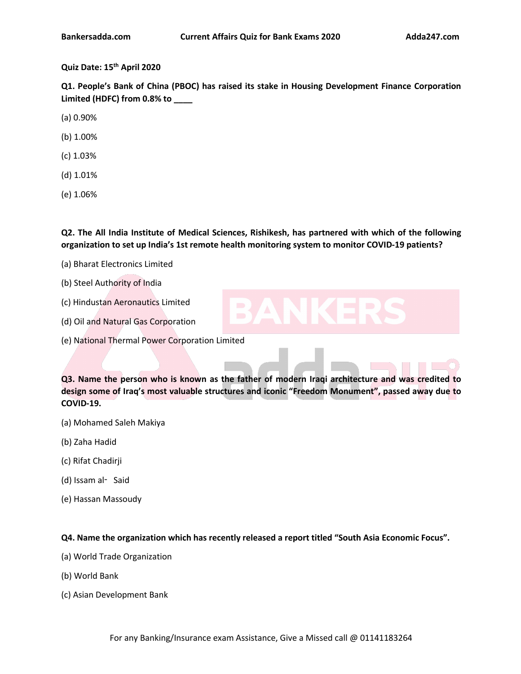# **Quiz Date: 15 th April 2020**

**Q1. People's Bank of China (PBOC) has raised its stake in Housing Development Finance Corporation Limited (HDFC) from 0.8% to \_\_\_\_**

(a) 0.90%

- (b) 1.00%
- (c) 1.03%
- (d) 1.01%
- (e) 1.06%

**Q2. The All India Institute of Medical Sciences, Rishikesh, has partnered with which of the following organization to set up India's 1st remote health monitoring system to monitor COVID-19 patients?**

- (a) Bharat Electronics Limited
- (b) Steel Authority of India
- (c) Hindustan Aeronautics Limited

(d) Oil and Natural Gas Corporation

(e) National Thermal Power Corporation Limited

**Q3. Name the person who is known as the father of modern Iraqi architecture and was credited to design some of Iraq's most valuable s[tructures](https://www.adda247.com/product-onlineliveclasses/3540/sbi-po-ka-maha-pack-online-live-classes-test-series-video-courses-ebooks-in-english-medium) and iconic "Freedom Monument", passed away due to COVID-19.**

- (a) Mohamed Saleh Makiya
- (b) Zaha Hadid
- (c) Rifat Chadirji
- (d) Issam al‑ Said
- (e) Hassan Massoudy

**Q4. Name the organization which has recently [released](https://www.adda247.com/product-onlineliveclasses/3936/bank-maha-pack-6-months) a reporttitled "South Asia Economic Focus".**

- (a) World Trade Organization
- (b) World Bank
- (c) Asian Development Bank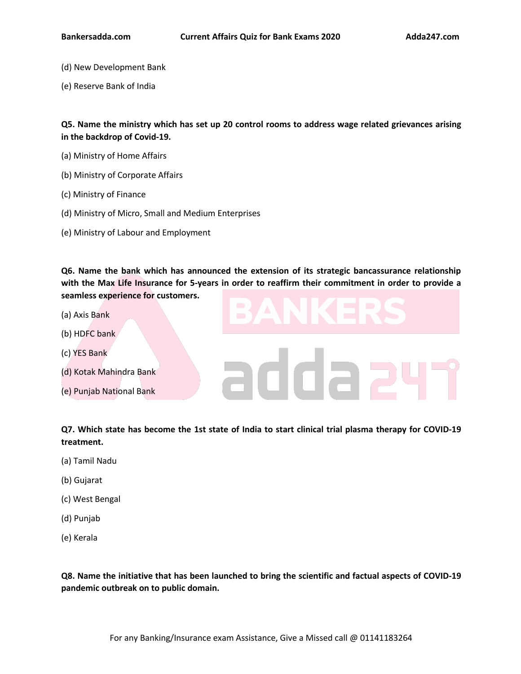- (d) New Development Bank
- (e) Reserve Bank of India

**Q5. Name the ministry which has set up 20 control rooms to address wage related grievances arising in the backdrop of Covid-19.**

- (a) Ministry of Home Affairs
- (b) Ministry of Corporate Affairs
- (c) Ministry of Finance
- (d) Ministry of Micro, Small and Medium Enterprises
- (e) Ministry of Labour and Employment

**Q6. Name the bank which has announced the extension of itsstrategic bancassurance relationship** with the Max Life Insurance for 5-years in order to reaffirm their commitment in order to provide a **seamless experience for customers.**

- (a) Axis Bank
- (b) HDFC bank
- (c) YES Bank
- (d) Kotak Mahindra Bank<br>(e) Puniah National Bank
- (e) Punjab National Bank

Q7. Which state has become the 1st state of [India](https://www.adda247.com/product-onlineliveclasses/3540/sbi-po-ka-maha-pack-online-live-classes-test-series-video-courses-ebooks-in-english-medium) to start clinical trial plasma therapy for COVID-19 **treatment.**

- (a) Tamil Nadu
- (b) Gujarat
- (c) West Bengal
- (d) Punjab
- (e) Kerala

**Q8. Name the initiative that has been launched to bring the scientific and factual aspects of COVID-19 pandemic outbreak on to public domain.**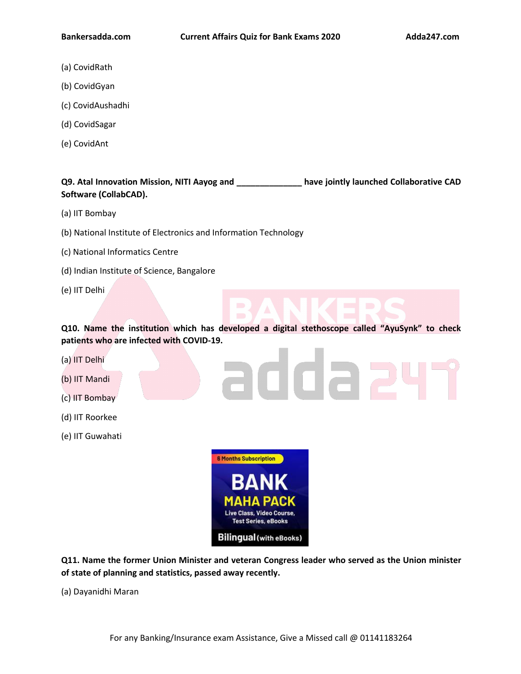- (a) CovidRath
- (b) CovidGyan
- (c) CovidAushadhi
- (d) CovidSagar
- (e) CovidAnt

**Q9. Atal Innovation Mission, NITI Aayog and \_\_\_\_\_\_\_\_\_\_\_\_\_\_ have jointly launched Collaborative CAD Software (CollabCAD).**

- (a) IIT Bombay
- (b) National Institute of Electronics and Information Technology
- (c) National Informatics Centre
- (d) Indian Institute of Science, Bangalore
- (e) IIT Delhi

**Q10. Name the institution which has developed a digital stethoscope called "AyuSynk" to check patients who are infected with COVID-19.**

addae

- (a) IIT Delhi
- (b) IIT Mandi
- (c) IIT Bombay
- (d) IIT Roorkee
- (e) IIT Guwahati



**Q11. Name the former Union Minister and veteran Congress leader who served as the Union minister of state of planning and statistics, passed away recently.**

(a) Dayanidhi Maran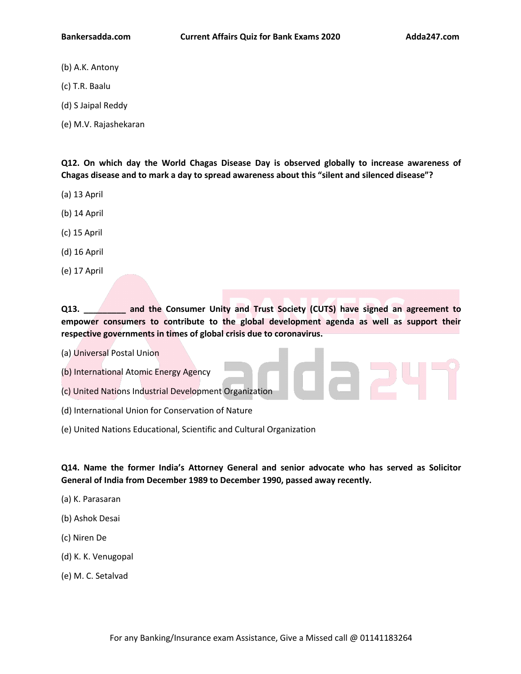- (b) A.K. Antony
- (c) T.R. Baalu
- (d) S Jaipal Reddy
- (e) M.V. Rajashekaran

**Q12. On which day the World Chagas Disease Day is observed globally to increase awareness of Chagas disease and to mark a day to spread awareness about this "silent and silenced disease"?**

- (a) 13 April
- (b) 14 April
- (c) 15 April
- (d) 16 April
- (e) 17 April

**Q13. \_\_\_\_\_\_\_\_\_ and the Consumer Unity and Trust Society (CUTS) have signed an agreement to empower consumers to contribute to the global development agenda as well as support their respective governments in times of global crisis due to coronavirus.**

(a) Universal Postal Union

(b) International Atomic Energy Agency

(c) United Nations Industrial Development [Organization](https://www.adda247.com/product-onlineliveclasses/3540/sbi-po-ka-maha-pack-online-live-classes-test-series-video-courses-ebooks-in-english-medium)

- (d) International Union for Conservation of Nature
- (e) United Nations Educational, Scientific and Cultural Organization

**Q14. Name the former India's Attorney General and senior advocate who has served as Solicitor General of India from December 1989 to [December](https://www.adda247.com/product-onlineliveclasses/3936/bank-maha-pack-6-months) 1990, passed away recently.**

- (a) K.Parasaran
- (b) Ashok Desai
- (c) Niren De
- (d) K.K. Venugopal
- (e) M. C. Setalvad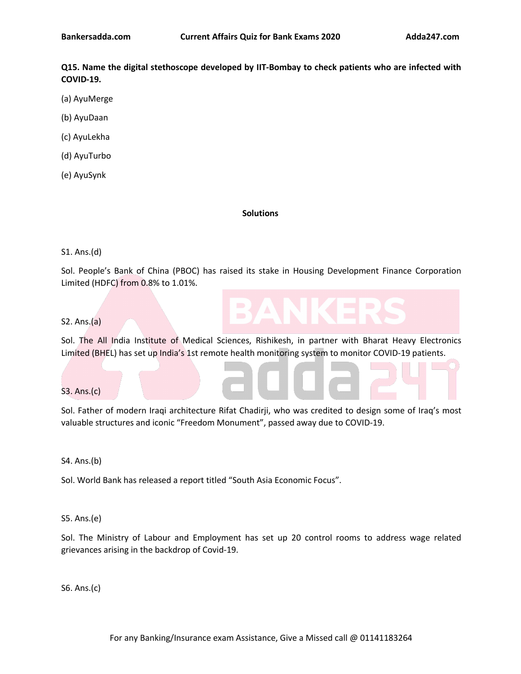**Q15. Name the digital stethoscope developed by IIT-Bombay to check patients who are infected with COVID-19.**

- (a) AyuMerge
- (b) AyuDaan
- (c) AyuLekha
- (d) AyuTurbo
- (e) AyuSynk

#### **Solutions**

#### S1. Ans.(d)

Sol. People's Bank of China (PBOC) has raised its stake in Housing Development Finance Corporation Limited (HDFC) from 0.8% to 1.01%.

#### S2. Ans.(a)

Sol. The All India Institute of Medical Sciences, Rishikesh, in partner with Bharat Heavy Electronics Limited (BHEL) has set up India's 1st remote health monitoring system to monitor COVID-19 patients.

### S3. Ans.(c)

Sol. Father of modern Iraqi architecture Rifat Chadirji, who was credited to design some of Iraq's most valuable structures and iconic "Freedom [Monument",](https://www.adda247.com/product-onlineliveclasses/3540/sbi-po-ka-maha-pack-online-live-classes-test-series-video-courses-ebooks-in-english-medium) passed away due to COVID-19.

S4. Ans.(b)

Sol. World Bank has released a report titled "South Asia [Economic](https://www.adda247.com/product-onlineliveclasses/3936/bank-maha-pack-6-months) Focus".

S5. Ans.(e)

Sol. The Ministry of Labour and Employment has set up 20 control rooms to address wage related grievances arising in the backdrop of Covid-19.

S6. Ans.(c)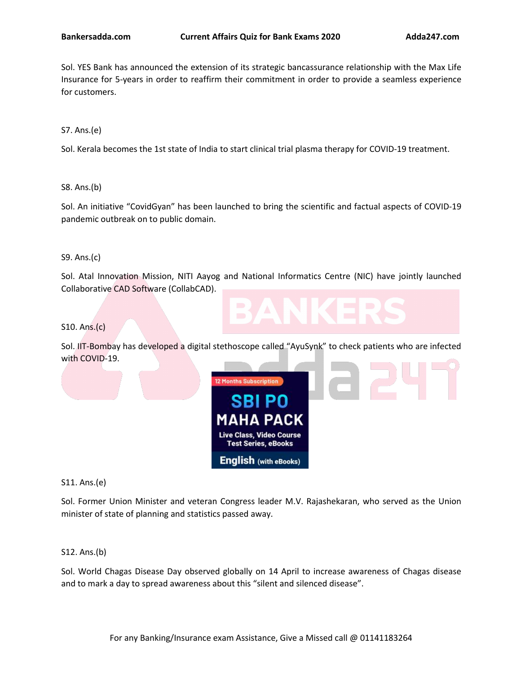Sol. YES Bank has announced the extension of its strategic bancassurance relationship with the Max Life Insurance for 5-years in order to reaffirm their commitment in order to provide a seamless experience for customers.

S7. Ans.(e)

Sol. Kerala becomes the 1st state of India to start clinical trial plasma therapy for COVID-19 treatment.

S8. Ans.(b)

Sol. An initiative "CovidGyan" has been launched to bring the scientific and factual aspects of COVID-19 pandemic outbreak on to public domain.

S9. Ans.(c)

Sol. Atal Innovation Mission, NITI Aayog and National Informatics Centre (NIC) have jointly launched Collaborative CAD Software (CollabCAD).

S10. Ans.(c)

Sol. IIT-Bombay has developed a digital stethoscope called "AyuSynk" to check patients who are infected with COVID-19.



S11. Ans.(e)

Sol. Former Union Minister and veteran [Congress](https://www.adda247.com/product-onlineliveclasses/3936/bank-maha-pack-6-months) leader M.V. Rajashekaran, who served as the Union minister of state of planning and statistics passed away.

S12. Ans.(b)

Sol. World Chagas Disease Day observed globally on 14 April to increase awareness of Chagas disease and to mark a day to spread awareness about this "silent and silenced disease".